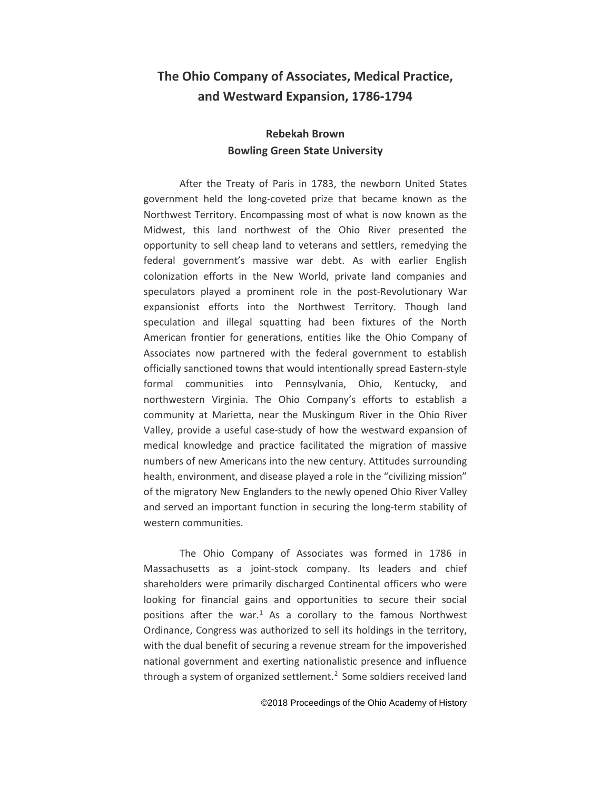# **The Ohio Company of Associates, Medical Practice, and Westward Expansion, 1786-1794**

# **Rebekah Brown Bowling Green State University**

After the Treaty of Paris in 1783, the newborn United States government held the long-coveted prize that became known as the Northwest Territory. Encompassing most of what is now known as the Midwest, this land northwest of the Ohio River presented the opportunity to sell cheap land to veterans and settlers, remedying the federal government's massive war debt. As with earlier English colonization efforts in the New World, private land companies and speculators played a prominent role in the post-Revolutionary War expansionist efforts into the Northwest Territory. Though land speculation and illegal squatting had been fixtures of the North American frontier for generations, entities like the Ohio Company of Associates now partnered with the federal government to establish officially sanctioned towns that would intentionally spread Eastern-style formal communities into Pennsylvania, Ohio, Kentucky, and northwestern Virginia. The Ohio Company's efforts to establish a community at Marietta, near the Muskingum River in the Ohio River Valley, provide a useful case-study of how the westward expansion of medical knowledge and practice facilitated the migration of massive numbers of new Americans into the new century. Attitudes surrounding health, environment, and disease played a role in the "civilizing mission" of the migratory New Englanders to the newly opened Ohio River Valley and served an important function in securing the long-term stability of western communities.

The Ohio Company of Associates was formed in 1786 in Massachusetts as a joint-stock company. Its leaders and chief shareholders were primarily discharged Continental officers who were looking for financial gains and opportunities to secure their social positions after the war.<sup>[1](#page-2-0)</sup> As a corollary to the famous Northwest Ordinance, Congress was authorized to sell its holdings in the territory, with the dual benefit of securing a revenue stream for the impoverished national government and exerting nationalistic presence and influence through a system of organized settlement.<sup>[2](#page-2-1)</sup> Some soldiers received land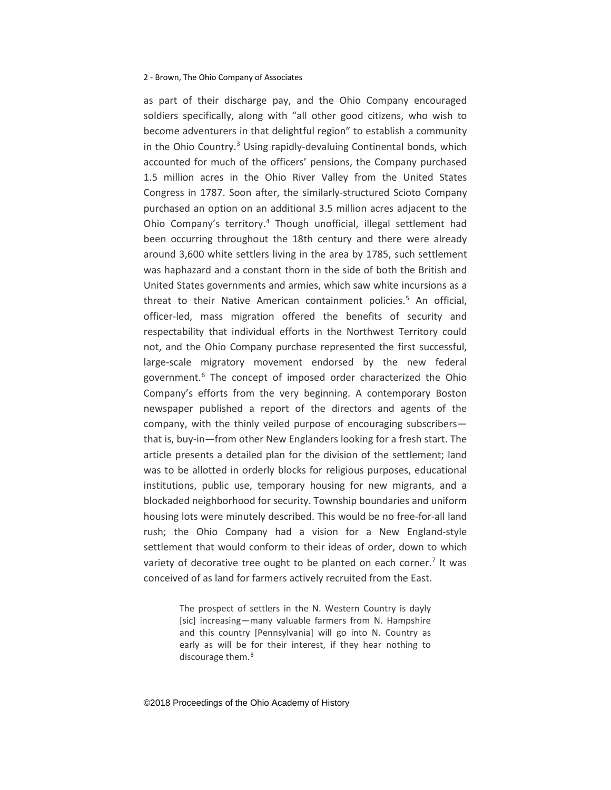as part of their discharge pay, and the Ohio Company encouraged soldiers specifically, along with "all other good citizens, who wish to become adventurers in that delightful region" to establish a community in the Ohio Country. [3](#page-3-0) Using rapidly-devaluing Continental bonds, which accounted for much of the officers' pensions, the Company purchased 1.5 million acres in the Ohio River Valley from the United States Congress in 1787. Soon after, the similarly-structured Scioto Company purchased an option on an additional 3.5 million acres adjacent to the Ohio Company's territory.[4](#page-3-1) Though unofficial, illegal settlement had been occurring throughout the 18th century and there were already around 3,600 white settlers living in the area by 1785, such settlement was haphazard and a constant thorn in the side of both the British and United States governments and armies, which saw white incursions as a threat to their Native American containment policies.<sup>[5](#page-3-2)</sup> An official, officer-led, mass migration offered the benefits of security and respectability that individual efforts in the Northwest Territory could not, and the Ohio Company purchase represented the first successful, large-scale migratory movement endorsed by the new federal government.<sup>[6](#page-3-3)</sup> The concept of imposed order characterized the Ohio Company's efforts from the very beginning. A contemporary Boston newspaper published a report of the directors and agents of the company, with the thinly veiled purpose of encouraging subscribers that is, buy-in—from other New Englanders looking for a fresh start. The article presents a detailed plan for the division of the settlement; land was to be allotted in orderly blocks for religious purposes, educational institutions, public use, temporary housing for new migrants, and a blockaded neighborhood for security. Township boundaries and uniform housing lots were minutely described. This would be no free-for-all land rush; the Ohio Company had a vision for a New England-style settlement that would conform to their ideas of order, down to which variety of decorative tree ought to be planted on each corner.<sup>[7](#page-3-4)</sup> It was conceived of as land for farmers actively recruited from the East.

> The prospect of settlers in the N. Western Country is dayly [sic] increasing—many valuable farmers from N. Hampshire and this country [Pennsylvania] will go into N. Country as early as will be for their interest, if they hear nothing to discourage them.<sup>[8](#page-3-5)</sup>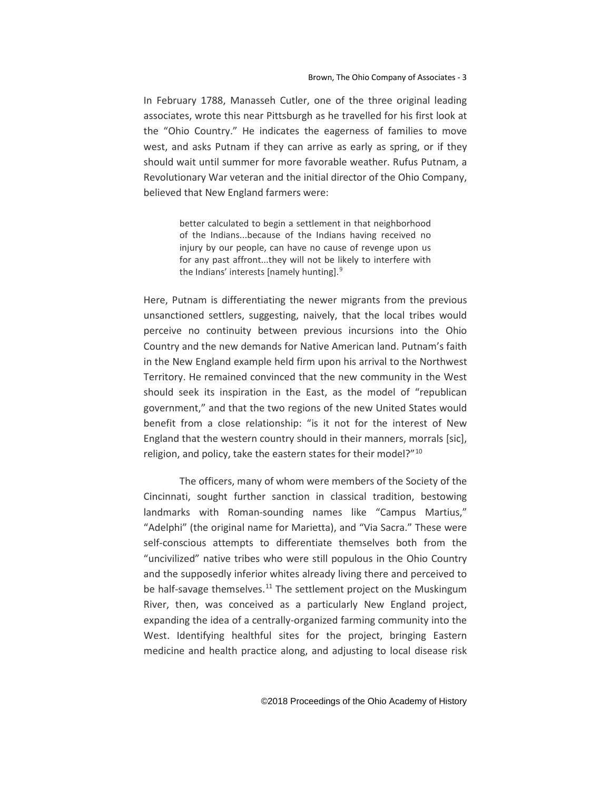In February 1788, Manasseh Cutler, one of the three original leading associates, wrote this near Pittsburgh as he travelled for his first look at the "Ohio Country." He indicates the eagerness of families to move west, and asks Putnam if they can arrive as early as spring, or if they should wait until summer for more favorable weather. Rufus Putnam, a Revolutionary War veteran and the initial director of the Ohio Company, believed that New England farmers were:

> better calculated to begin a settlement in that neighborhood of the Indians...because of the Indians having received no injury by our people, can have no cause of revenge upon us for any past affront...they will not be likely to interfere with the Indians' interests [namely hunting].[9](#page-4-0)

<span id="page-2-1"></span><span id="page-2-0"></span>Here, Putnam is differentiating the newer migrants from the previous unsanctioned settlers, suggesting, naively, that the local tribes would perceive no continuity between previous incursions into the Ohio Country and the new demands for Native American land. Putnam's faith in the New England example held firm upon his arrival to the Northwest Territory. He remained convinced that the new community in the West should seek its inspiration in the East, as the model of "republican government," and that the two regions of the new United States would benefit from a close relationship: "is it not for the interest of New England that the western country should in their manners, morrals [sic], religion, and policy, take the eastern states for their model?"<sup>[10](#page-4-1)</sup>

The officers, many of whom were members of the Society of the Cincinnati, sought further sanction in classical tradition, bestowing landmarks with Roman-sounding names like "Campus Martius," "Adelphi" (the original name for Marietta), and "Via Sacra." These were self-conscious attempts to differentiate themselves both from the "uncivilized" native tribes who were still populous in the Ohio Country and the supposedly inferior whites already living there and perceived to be half-savage themselves. $^{11}$  $^{11}$  $^{11}$  The settlement project on the Muskingum River, then, was conceived as a particularly New England project, expanding the idea of a centrally-organized farming community into the West. Identifying healthful sites for the project, bringing Eastern medicine and health practice along, and adjusting to local disease risk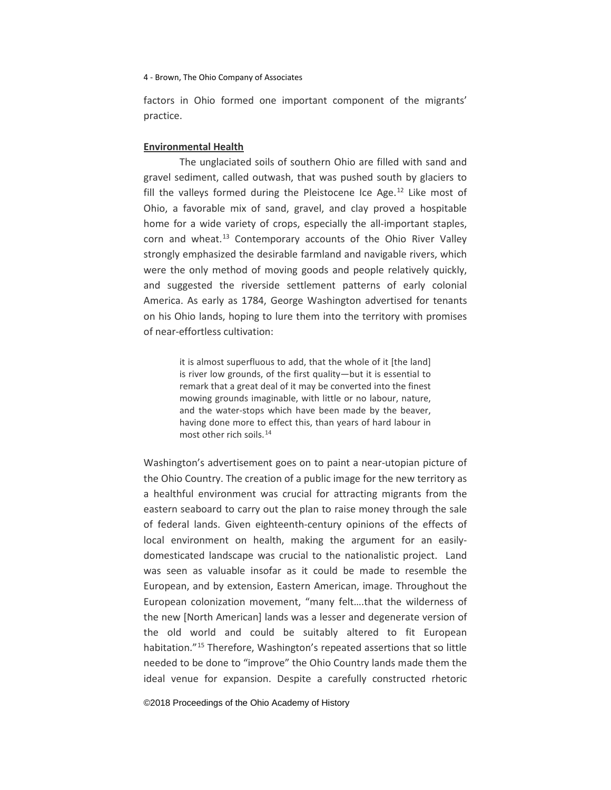factors in Ohio formed one important component of the migrants' practice.

# **Environmental Health**

The unglaciated soils of southern Ohio are filled with sand and gravel sediment, called outwash, that was pushed south by glaciers to fill the valleys formed during the Pleistocene Ice Age. $12$  Like most of Ohio, a favorable mix of sand, gravel, and clay proved a hospitable home for a wide variety of crops, especially the all-important staples, corn and wheat. $^{13}$  $^{13}$  $^{13}$  Contemporary accounts of the Ohio River Valley strongly emphasized the desirable farmland and navigable rivers, which were the only method of moving goods and people relatively quickly, and suggested the riverside settlement patterns of early colonial America. As early as 1784, George Washington advertised for tenants on his Ohio lands, hoping to lure them into the territory with promises of near-effortless cultivation:

> <span id="page-3-0"></span>it is almost superfluous to add, that the whole of it [the land] is river low grounds, of the first quality—but it is essential to remark that a great deal of it may be converted into the finest mowing grounds imaginable, with little or no labour, nature, and the water-stops which have been made by the beaver, having done more to effect this, than years of hard labour in most other rich soils.[14](#page-5-2)

<span id="page-3-5"></span><span id="page-3-4"></span><span id="page-3-3"></span><span id="page-3-2"></span><span id="page-3-1"></span>Washington's advertisement goes on to paint a near-utopian picture of the Ohio Country. The creation of a public image for the new territory as a healthful environment was crucial for attracting migrants from the eastern seaboard to carry out the plan to raise money through the sale of federal lands. Given eighteenth-century opinions of the effects of local environment on health, making the argument for an easilydomesticated landscape was crucial to the nationalistic project. Land was seen as valuable insofar as it could be made to resemble the European, and by extension, Eastern American, image. Throughout the European colonization movement, "many felt….that the wilderness of the new [North American] lands was a lesser and degenerate version of the old world and could be suitably altered to fit European habitation."<sup>[15](#page-5-3)</sup> Therefore, Washington's repeated assertions that so little needed to be done to "improve" the Ohio Country lands made them the ideal venue for expansion. Despite a carefully constructed rhetoric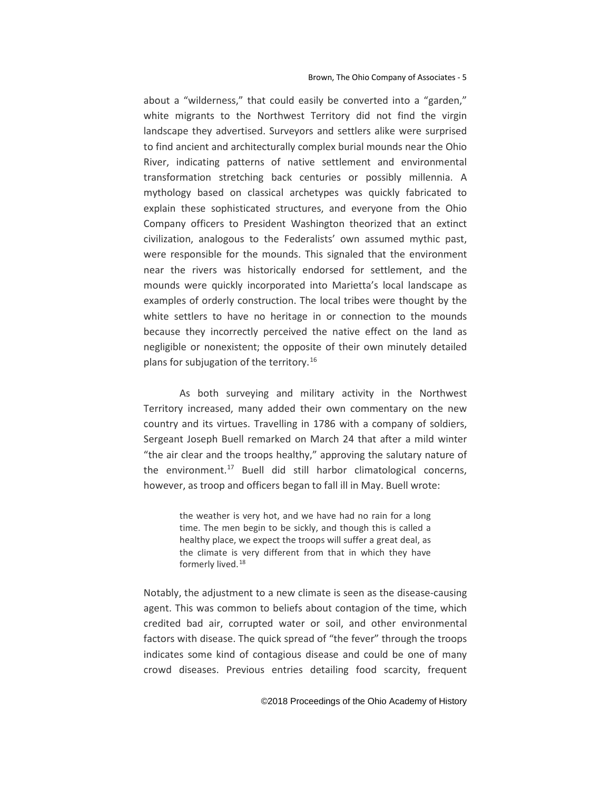about a "wilderness," that could easily be converted into a "garden," white migrants to the Northwest Territory did not find the virgin landscape they advertised. Surveyors and settlers alike were surprised to find ancient and architecturally complex burial mounds near the Ohio River, indicating patterns of native settlement and environmental transformation stretching back centuries or possibly millennia. A mythology based on classical archetypes was quickly fabricated to explain these sophisticated structures, and everyone from the Ohio Company officers to President Washington theorized that an extinct civilization, analogous to the Federalists' own assumed mythic past, were responsible for the mounds. This signaled that the environment near the rivers was historically endorsed for settlement, and the mounds were quickly incorporated into Marietta's local landscape as examples of orderly construction. The local tribes were thought by the white settlers to have no heritage in or connection to the mounds because they incorrectly perceived the native effect on the land as negligible or nonexistent; the opposite of their own minutely detailed plans for subjugation of the territory.<sup>[16](#page-6-0)</sup>

As both surveying and military activity in the Northwest Territory increased, many added their own commentary on the new country and its virtues. Travelling in 1786 with a company of soldiers, Sergeant Joseph Buell remarked on March 24 that after a mild winter "the air clear and the troops healthy," approving the salutary nature of the environment.[17](#page-6-1) Buell did still harbor climatological concerns, however, as troop and officers began to fall ill in May. Buell wrote:

> the weather is very hot, and we have had no rain for a long time. The men begin to be sickly, and though this is called a healthy place, we expect the troops will suffer a great deal, as the climate is very different from that in which they have formerly lived.<sup>[18](#page-6-2)</sup>

<span id="page-4-2"></span><span id="page-4-1"></span><span id="page-4-0"></span>Notably, the adjustment to a new climate is seen as the disease-causing agent. This was common to beliefs about contagion of the time, which credited bad air, corrupted water or soil, and other environmental factors with disease. The quick spread of "the fever" through the troops indicates some kind of contagious disease and could be one of many crowd diseases. Previous entries detailing food scarcity, frequent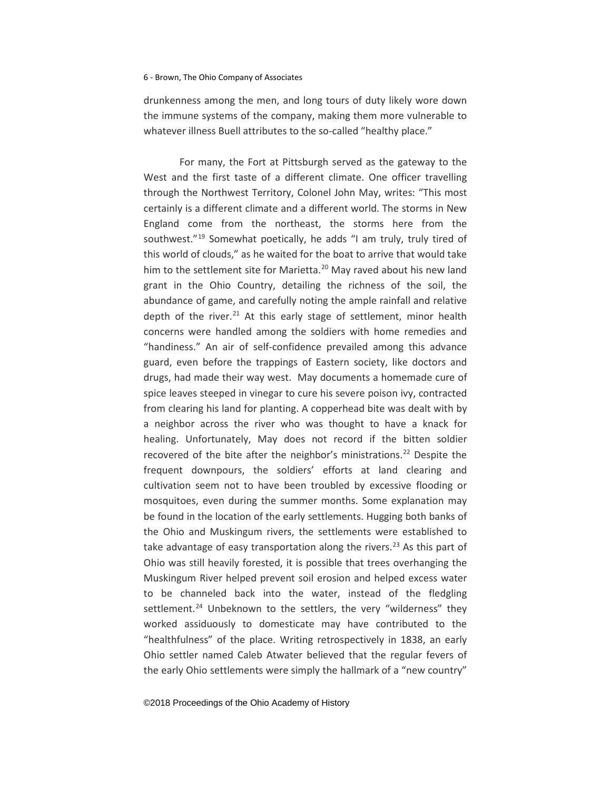<span id="page-5-0"></span>drunkenness among the men, and long tours of duty likely wore down the immune systems of the company, making them more vulnerable to whatever illness Buell attributes to the so-called "healthy place."

<span id="page-5-3"></span><span id="page-5-2"></span><span id="page-5-1"></span>For many, the Fort at Pittsburgh served as the gateway to the West and the first taste of a different climate. One officer travelling through the Northwest Territory, Colonel John May, writes: "This most certainly is a different climate and a different world. The storms in New England come from the northeast, the storms here from the southwest."[19](#page-7-0) Somewhat poetically, he adds "I am truly, truly tired of this world of clouds," as he waited for the boat to arrive that would take him to the settlement site for Marietta.<sup>[20](#page-7-1)</sup> May raved about his new land grant in the Ohio Country, detailing the richness of the soil, the abundance of game, and carefully noting the ample rainfall and relative depth of the river. $21$  At this early stage of settlement, minor health concerns were handled among the soldiers with home remedies and "handiness." An air of self-confidence prevailed among this advance guard, even before the trappings of Eastern society, like doctors and drugs, had made their way west. May documents a homemade cure of spice leaves steeped in vinegar to cure his severe poison ivy, contracted from clearing his land for planting. A copperhead bite was dealt with by a neighbor across the river who was thought to have a knack for healing. Unfortunately, May does not record if the bitten soldier recovered of the bite after the neighbor's ministrations.<sup>[22](#page-7-3)</sup> Despite the frequent downpours, the soldiers' efforts at land clearing and cultivation seem not to have been troubled by excessive flooding or mosquitoes, even during the summer months. Some explanation may be found in the location of the early settlements. Hugging both banks of the Ohio and Muskingum rivers, the settlements were established to take advantage of easy transportation along the rivers.<sup>[23](#page-7-4)</sup> As this part of Ohio was still heavily forested, it is possible that trees overhanging the Muskingum River helped prevent soil erosion and helped excess water to be channeled back into the water, instead of the fledgling settlement.<sup>[24](#page-7-5)</sup> Unbeknown to the settlers, the very "wilderness" they worked assiduously to domesticate may have contributed to the "healthfulness" of the place. Writing retrospectively in 1838, an early Ohio settler named Caleb Atwater believed that the regular fevers of the early Ohio settlements were simply the hallmark of a "new country"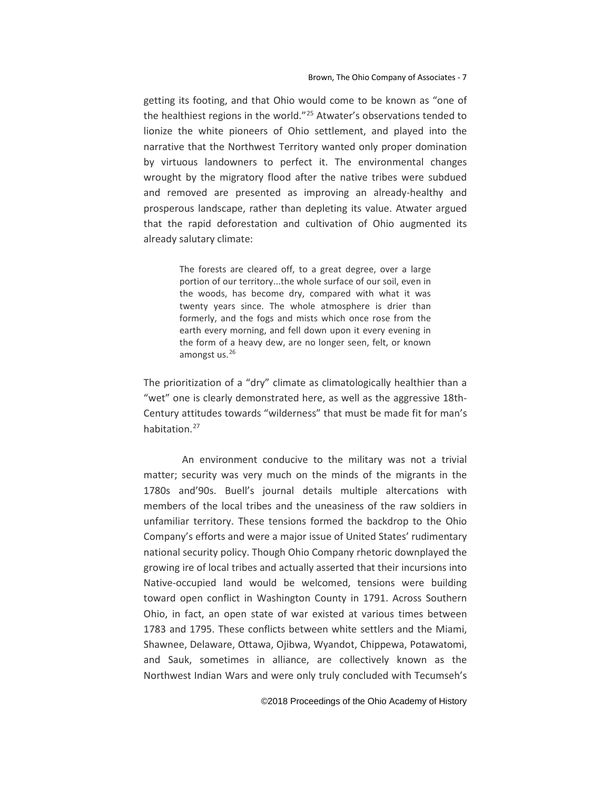getting its footing, and that Ohio would come to be known as "one of the healthiest regions in the world."<sup>25</sup> Atwater's observations tended to lionize the white pioneers of Ohio settlement, and played into the narrative that the Northwest Territory wanted only proper domination by virtuous landowners to perfect it. The environmental changes wrought by the migratory flood after the native tribes were subdued and removed are presented as improving an already-healthy and prosperous landscape, rather than depleting its value. Atwater argued that the rapid deforestation and cultivation of Ohio augmented its already salutary climate:

> <span id="page-6-1"></span><span id="page-6-0"></span>The forests are cleared off, to a great degree, over a large portion of our territory...the whole surface of our soil, even in the woods, has become dry, compared with what it was twenty years since. The whole atmosphere is drier than formerly, and the fogs and mists which once rose from the earth every morning, and fell down upon it every evening in the form of a heavy dew, are no longer seen, felt, or known amongst us.[26](#page-8-1)

<span id="page-6-2"></span>The prioritization of a "dry" climate as climatologically healthier than a "wet" one is clearly demonstrated here, as well as the aggressive 18th-Century attitudes towards "wilderness" that must be made fit for man's habitation.<sup>[27](#page-8-2)</sup>

An environment conducive to the military was not a trivial matter; security was very much on the minds of the migrants in the 1780s and'90s. Buell's journal details multiple altercations with members of the local tribes and the uneasiness of the raw soldiers in unfamiliar territory. These tensions formed the backdrop to the Ohio Company's efforts and were a major issue of United States' rudimentary national security policy. Though Ohio Company rhetoric downplayed the growing ire of local tribes and actually asserted that their incursions into Native-occupied land would be welcomed, tensions were building toward open conflict in Washington County in 1791. Across Southern Ohio, in fact, an open state of war existed at various times between 1783 and 1795. These conflicts between white settlers and the Miami, Shawnee, Delaware, Ottawa, Ojibwa, Wyandot, Chippewa, Potawatomi, and Sauk, sometimes in alliance, are collectively known as the Northwest Indian Wars and were only truly concluded with Tecumseh's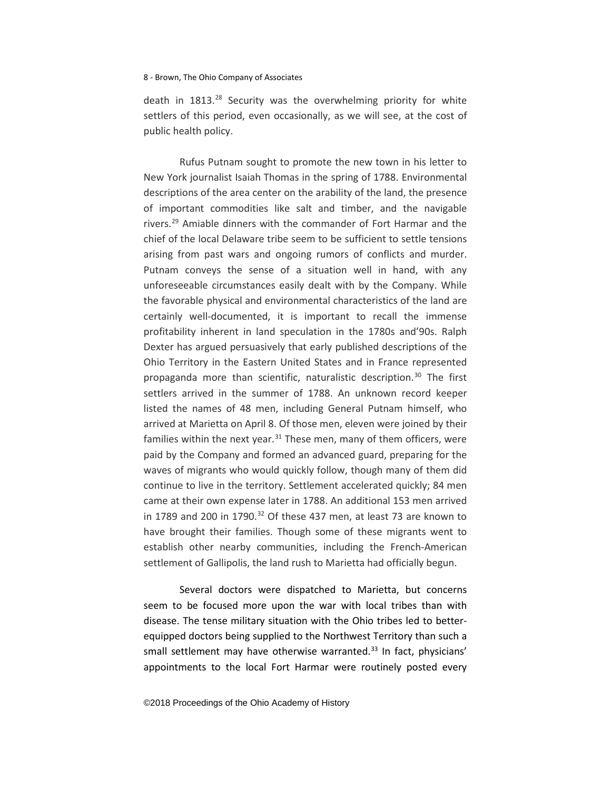death in  $1813.<sup>28</sup>$  $1813.<sup>28</sup>$  $1813.<sup>28</sup>$  Security was the overwhelming priority for white settlers of this period, even occasionally, as we will see, at the cost of public health policy.

<span id="page-7-1"></span><span id="page-7-0"></span>Rufus Putnam sought to promote the new town in his letter to New York journalist Isaiah Thomas in the spring of 1788. Environmental descriptions of the area center on the arability of the land, the presence of important commodities like salt and timber, and the navigable rivers.<sup>[29](#page-9-1)</sup> Amiable dinners with the commander of Fort Harmar and the chief of the local Delaware tribe seem to be sufficient to settle tensions arising from past wars and ongoing rumors of conflicts and murder. Putnam conveys the sense of a situation well in hand, with any unforeseeable circumstances easily dealt with by the Company. While the favorable physical and environmental characteristics of the land are certainly well-documented, it is important to recall the immense profitability inherent in land speculation in the 1780s and'90s. Ralph Dexter has argued persuasively that early published descriptions of the Ohio Territory in the Eastern United States and in France represented propaganda more than scientific, naturalistic description.<sup>[30](#page-9-2)</sup> The first settlers arrived in the summer of 1788. An unknown record keeper listed the names of 48 men, including General Putnam himself, who arrived at Marietta on April 8. Of those men, eleven were joined by their families within the next year. $31$  These men, many of them officers, were paid by the Company and formed an advanced guard, preparing for the waves of migrants who would quickly follow, though many of them did continue to live in the territory. Settlement accelerated quickly; 84 men came at their own expense later in 1788. An additional 153 men arrived in 1789 and 200 in 1790. $32$  Of these 437 men, at least 73 are known to have brought their families. Though some of these migrants went to establish other nearby communities, including the French-American settlement of Gallipolis, the land rush to Marietta had officially begun.

<span id="page-7-5"></span><span id="page-7-4"></span><span id="page-7-3"></span><span id="page-7-2"></span>Several doctors were dispatched to Marietta, but concerns seem to be focused more upon the war with local tribes than with disease. The tense military situation with the Ohio tribes led to betterequipped doctors being supplied to the Northwest Territory than such a small settlement may have otherwise warranted.<sup>[33](#page-9-5)</sup> In fact, physicians' appointments to the local Fort Harmar were routinely posted every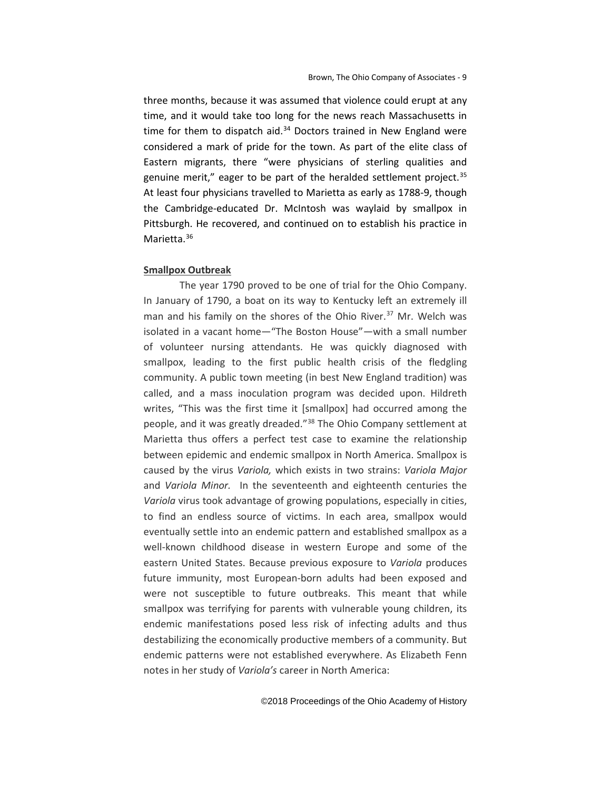three months, because it was assumed that violence could erupt at any time, and it would take too long for the news reach Massachusetts in time for them to dispatch aid. $34$  Doctors trained in New England were considered a mark of pride for the town. As part of the elite class of Eastern migrants, there "were physicians of sterling qualities and genuine merit," eager to be part of the heralded settlement project.<sup>[35](#page-10-1)</sup> At least four physicians travelled to Marietta as early as 1788-9, though the Cambridge-educated Dr. McIntosh was waylaid by smallpox in Pittsburgh. He recovered, and continued on to establish his practice in Marietta.<sup>36</sup>

#### **Smallpox Outbreak**

<span id="page-8-2"></span><span id="page-8-1"></span><span id="page-8-0"></span>The year 1790 proved to be one of trial for the Ohio Company. In January of 1790, a boat on its way to Kentucky left an extremely ill man and his family on the shores of the Ohio River. $37$  Mr. Welch was isolated in a vacant home—"The Boston House"—with a small number of volunteer nursing attendants. He was quickly diagnosed with smallpox, leading to the first public health crisis of the fledgling community. A public town meeting (in best New England tradition) was called, and a mass inoculation program was decided upon. Hildreth writes, "This was the first time it [smallpox] had occurred among the people, and it was greatly dreaded."<sup>[38](#page-10-4)</sup> The Ohio Company settlement at Marietta thus offers a perfect test case to examine the relationship between epidemic and endemic smallpox in North America. Smallpox is caused by the virus *Variola,* which exists in two strains: *Variola Major*  and *Variola Minor.* In the seventeenth and eighteenth centuries the *Variola* virus took advantage of growing populations, especially in cities, to find an endless source of victims. In each area, smallpox would eventually settle into an endemic pattern and established smallpox as a well-known childhood disease in western Europe and some of the eastern United States. Because previous exposure to *Variola* produces future immunity, most European-born adults had been exposed and were not susceptible to future outbreaks. This meant that while smallpox was terrifying for parents with vulnerable young children, its endemic manifestations posed less risk of infecting adults and thus destabilizing the economically productive members of a community. But endemic patterns were not established everywhere. As Elizabeth Fenn notes in her study of *Variola's* career in North America: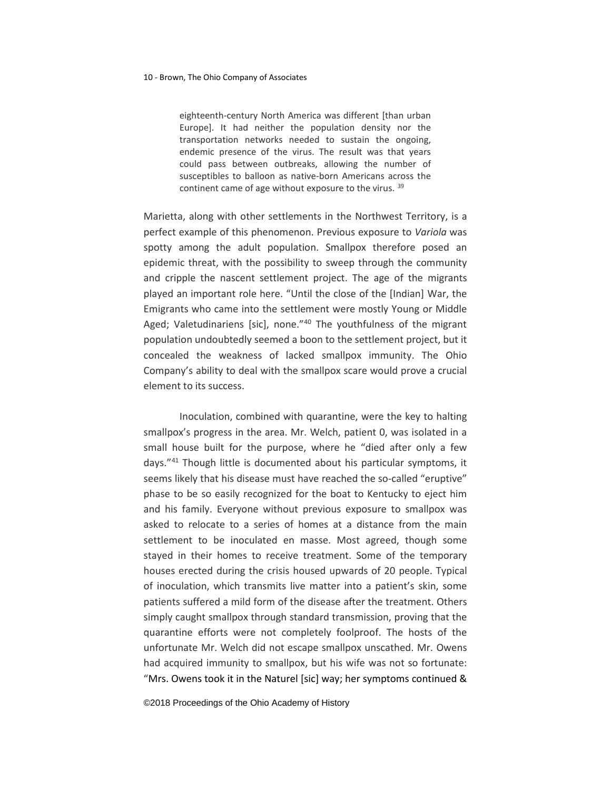eighteenth-century North America was different [than urban Europe]. It had neither the population density nor the transportation networks needed to sustain the ongoing, endemic presence of the virus. The result was that years could pass between outbreaks, allowing the number of susceptibles to balloon as native-born Americans across the continent came of age without exposure to the virus. [39](#page-11-0)

Marietta, along with other settlements in the Northwest Territory, is a perfect example of this phenomenon. Previous exposure to *Variola* was spotty among the adult population. Smallpox therefore posed an epidemic threat, with the possibility to sweep through the community and cripple the nascent settlement project. The age of the migrants played an important role here. "Until the close of the [Indian] War, the Emigrants who came into the settlement were mostly Young or Middle Aged; Valetudinariens [sic], none."[40](#page-11-1) The youthfulness of the migrant population undoubtedly seemed a boon to the settlement project, but it concealed the weakness of lacked smallpox immunity. The Ohio Company's ability to deal with the smallpox scare would prove a crucial element to its success.

<span id="page-9-5"></span><span id="page-9-4"></span><span id="page-9-3"></span><span id="page-9-2"></span><span id="page-9-1"></span><span id="page-9-0"></span>Inoculation, combined with quarantine, were the key to halting smallpox's progress in the area. Mr. Welch, patient 0, was isolated in a small house built for the purpose, where he "died after only a few days."[41](#page-11-2) Though little is documented about his particular symptoms, it seems likely that his disease must have reached the so-called "eruptive" phase to be so easily recognized for the boat to Kentucky to eject him and his family. Everyone without previous exposure to smallpox was asked to relocate to a series of homes at a distance from the main settlement to be inoculated en masse. Most agreed, though some stayed in their homes to receive treatment. Some of the temporary houses erected during the crisis housed upwards of 20 people. Typical of inoculation, which transmits live matter into a patient's skin, some patients suffered a mild form of the disease after the treatment. Others simply caught smallpox through standard transmission, proving that the quarantine efforts were not completely foolproof. The hosts of the unfortunate Mr. Welch did not escape smallpox unscathed. Mr. Owens had acquired immunity to smallpox, but his wife was not so fortunate: "Mrs. Owens took it in the Naturel [sic] way; her symptoms continued &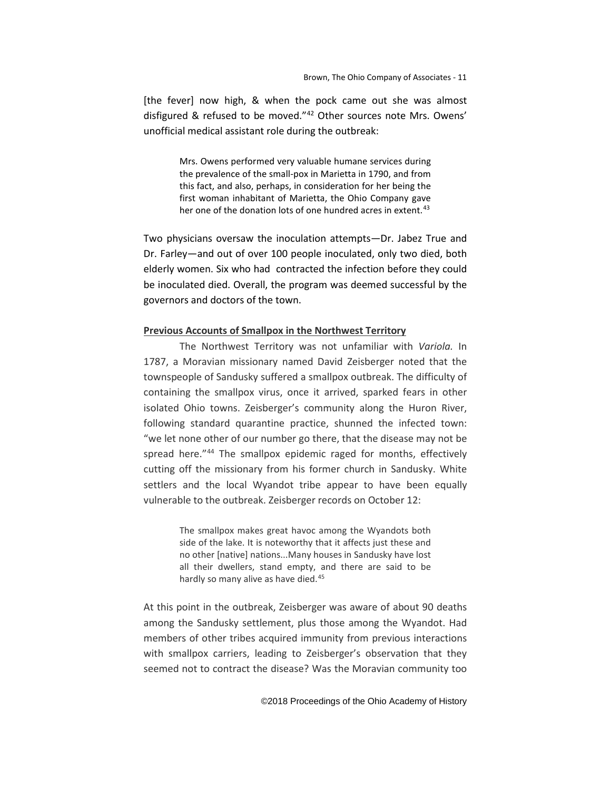<span id="page-10-3"></span><span id="page-10-2"></span><span id="page-10-1"></span>[the fever] now high, & when the pock came out she was almost disfigured & refused to be moved."[42](#page-12-0) Other sources note Mrs. Owens' unofficial medical assistant role during the outbreak:

> Mrs. Owens performed very valuable humane services during the prevalence of the small-pox in Marietta in 1790, and from this fact, and also, perhaps, in consideration for her being the first woman inhabitant of Marietta, the Ohio Company gave her one of the donation lots of one hundred acres in extent.<sup>[43](#page-12-1)</sup>

<span id="page-10-4"></span>Two physicians oversaw the inoculation attempts—Dr. Jabez True and Dr. Farley—and out of over 100 people inoculated, only two died, both elderly women. Six who had contracted the infection before they could be inoculated died. Overall, the program was deemed successful by the governors and doctors of the town.

## **Previous Accounts of Smallpox in the Northwest Territory**

The Northwest Territory was not unfamiliar with *Variola.* In 1787, a Moravian missionary named David Zeisberger noted that the townspeople of Sandusky suffered a smallpox outbreak. The difficulty of containing the smallpox virus, once it arrived, sparked fears in other isolated Ohio towns. Zeisberger's community along the Huron River, following standard quarantine practice, shunned the infected town: "we let none other of our number go there, that the disease may not be spread here."<sup>[44](#page-12-2)</sup> The smallpox epidemic raged for months, effectively cutting off the missionary from his former church in Sandusky. White settlers and the local Wyandot tribe appear to have been equally vulnerable to the outbreak. Zeisberger records on October 12:

> The smallpox makes great havoc among the Wyandots both side of the lake. It is noteworthy that it affects just these and no other [native] nations...Many houses in Sandusky have lost all their dwellers, stand empty, and there are said to be hardly so many alive as have died.<sup>[45](#page-12-3)</sup>

<span id="page-10-0"></span>At this point in the outbreak, Zeisberger was aware of about 90 deaths among the Sandusky settlement, plus those among the Wyandot. Had members of other tribes acquired immunity from previous interactions with smallpox carriers, leading to Zeisberger's observation that they seemed not to contract the disease? Was the Moravian community too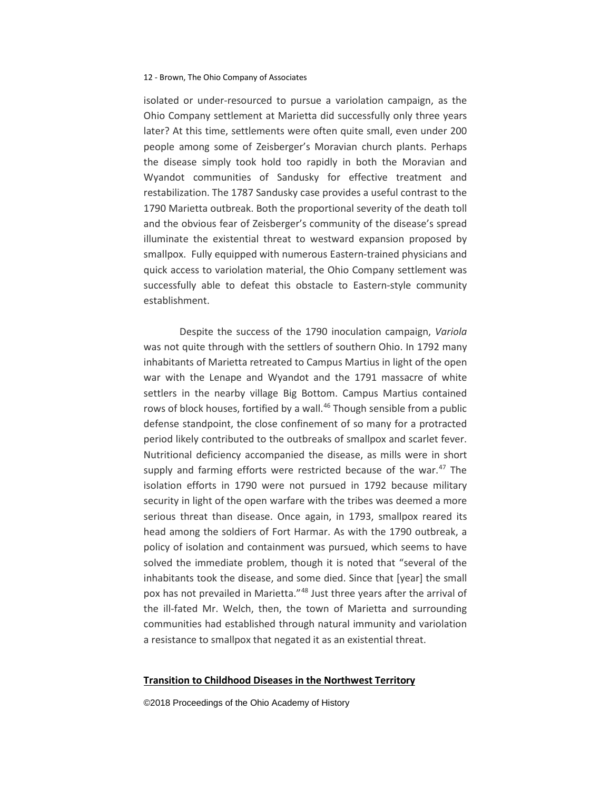isolated or under-resourced to pursue a variolation campaign, as the Ohio Company settlement at Marietta did successfully only three years later? At this time, settlements were often quite small, even under 200 people among some of Zeisberger's Moravian church plants. Perhaps the disease simply took hold too rapidly in both the Moravian and Wyandot communities of Sandusky for effective treatment and restabilization. The 1787 Sandusky case provides a useful contrast to the 1790 Marietta outbreak. Both the proportional severity of the death toll and the obvious fear of Zeisberger's community of the disease's spread illuminate the existential threat to westward expansion proposed by smallpox. Fully equipped with numerous Eastern-trained physicians and quick access to variolation material, the Ohio Company settlement was successfully able to defeat this obstacle to Eastern-style community establishment.

<span id="page-11-2"></span><span id="page-11-1"></span><span id="page-11-0"></span>Despite the success of the 1790 inoculation campaign, *Variola*  was not quite through with the settlers of southern Ohio. In 1792 many inhabitants of Marietta retreated to Campus Martius in light of the open war with the Lenape and Wyandot and the 1791 massacre of white settlers in the nearby village Big Bottom. Campus Martius contained rows of block houses, fortified by a wall.<sup>[46](#page-13-0)</sup> Though sensible from a public defense standpoint, the close confinement of so many for a protracted period likely contributed to the outbreaks of smallpox and scarlet fever. Nutritional deficiency accompanied the disease, as mills were in short supply and farming efforts were restricted because of the war. $47$  The isolation efforts in 1790 were not pursued in 1792 because military security in light of the open warfare with the tribes was deemed a more serious threat than disease. Once again, in 1793, smallpox reared its head among the soldiers of Fort Harmar. As with the 1790 outbreak, a policy of isolation and containment was pursued, which seems to have solved the immediate problem, though it is noted that "several of the inhabitants took the disease, and some died. Since that [year] the small pox has not prevailed in Marietta."<sup>[48](#page-13-2)</sup> Just three years after the arrival of the ill-fated Mr. Welch, then, the town of Marietta and surrounding communities had established through natural immunity and variolation a resistance to smallpox that negated it as an existential threat.

#### **Transition to Childhood Diseases in the Northwest Territory**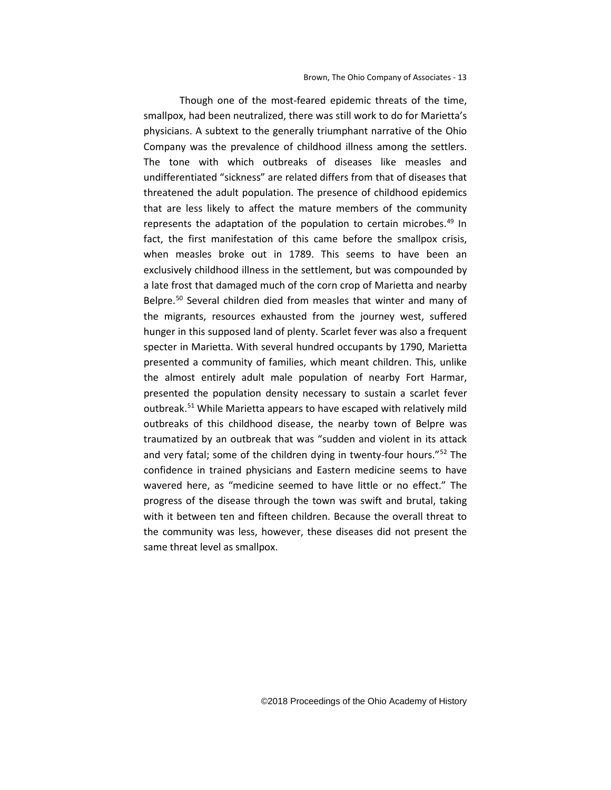<span id="page-12-3"></span><span id="page-12-2"></span><span id="page-12-1"></span><span id="page-12-0"></span>Though one of the most-feared epidemic threats of the time, smallpox, had been neutralized, there was still work to do for Marietta's physicians. A subtext to the generally triumphant narrative of the Ohio Company was the prevalence of childhood illness among the settlers. The tone with which outbreaks of diseases like measles and undifferentiated "sickness" are related differs from that of diseases that threatened the adult population. The presence of childhood epidemics that are less likely to affect the mature members of the community represents the adaptation of the population to certain microbes.<sup>[49](#page-14-0)</sup> In fact, the first manifestation of this came before the smallpox crisis, when measles broke out in 1789. This seems to have been an exclusively childhood illness in the settlement, but was compounded by a late frost that damaged much of the corn crop of Marietta and nearby Belpre.<sup>[50](#page-14-1)</sup> Several children died from measles that winter and many of the migrants, resources exhausted from the journey west, suffered hunger in this supposed land of plenty. Scarlet fever was also a frequent specter in Marietta. With several hundred occupants by 1790, Marietta presented a community of families, which meant children. This, unlike the almost entirely adult male population of nearby Fort Harmar, presented the population density necessary to sustain a scarlet fever outbreak.[51](#page-14-2) While Marietta appears to have escaped with relatively mild outbreaks of this childhood disease, the nearby town of Belpre was traumatized by an outbreak that was "sudden and violent in its attack and very fatal; some of the children dying in twenty-four hours."[52](#page-14-3) The confidence in trained physicians and Eastern medicine seems to have wavered here, as "medicine seemed to have little or no effect." The progress of the disease through the town was swift and brutal, taking with it between ten and fifteen children. Because the overall threat to the community was less, however, these diseases did not present the same threat level as smallpox.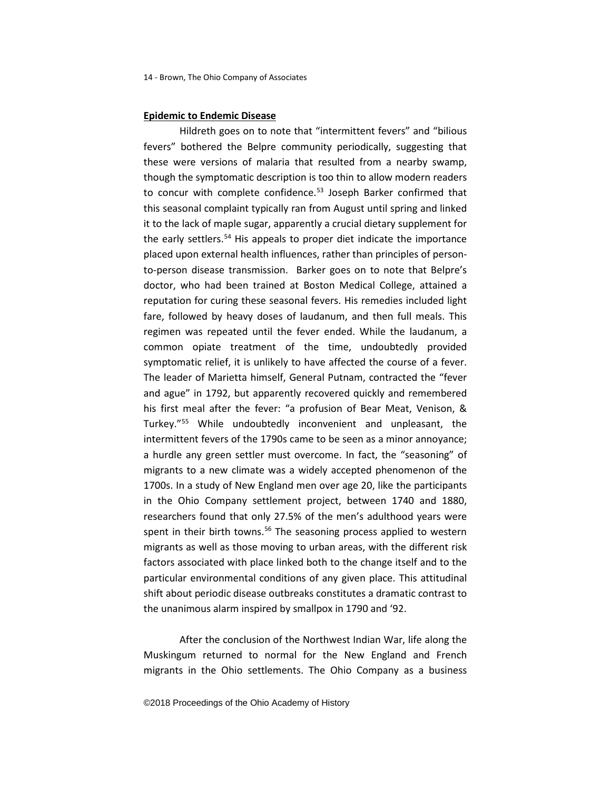## **Epidemic to Endemic Disease**

<span id="page-13-0"></span>Hildreth goes on to note that "intermittent fevers" and "bilious fevers" bothered the Belpre community periodically, suggesting that these were versions of malaria that resulted from a nearby swamp, though the symptomatic description is too thin to allow modern readers to concur with complete confidence.<sup>[53](#page-15-0)</sup> Joseph Barker confirmed that this seasonal complaint typically ran from August until spring and linked it to the lack of maple sugar, apparently a crucial dietary supplement for the early settlers.<sup>[54](#page-15-1)</sup> His appeals to proper diet indicate the importance placed upon external health influences, rather than principles of personto-person disease transmission. Barker goes on to note that Belpre's doctor, who had been trained at Boston Medical College, attained a reputation for curing these seasonal fevers. His remedies included light fare, followed by heavy doses of laudanum, and then full meals. This regimen was repeated until the fever ended. While the laudanum, a common opiate treatment of the time, undoubtedly provided symptomatic relief, it is unlikely to have affected the course of a fever. The leader of Marietta himself, General Putnam, contracted the "fever and ague" in 1792, but apparently recovered quickly and remembered his first meal after the fever: "a profusion of Bear Meat, Venison, & Turkey."[55](#page-15-2) While undoubtedly inconvenient and unpleasant, the intermittent fevers of the 1790s came to be seen as a minor annoyance; a hurdle any green settler must overcome. In fact, the "seasoning" of migrants to a new climate was a widely accepted phenomenon of the 1700s. In a study of New England men over age 20, like the participants in the Ohio Company settlement project, between 1740 and 1880, researchers found that only 27.5% of the men's adulthood years were spent in their birth towns.<sup>[56](#page-15-3)</sup> The seasoning process applied to western migrants as well as those moving to urban areas, with the different risk factors associated with place linked both to the change itself and to the particular environmental conditions of any given place. This attitudinal shift about periodic disease outbreaks constitutes a dramatic contrast to the unanimous alarm inspired by smallpox in 1790 and '92.

<span id="page-13-2"></span><span id="page-13-1"></span>After the conclusion of the Northwest Indian War, life along the Muskingum returned to normal for the New England and French migrants in the Ohio settlements. The Ohio Company as a business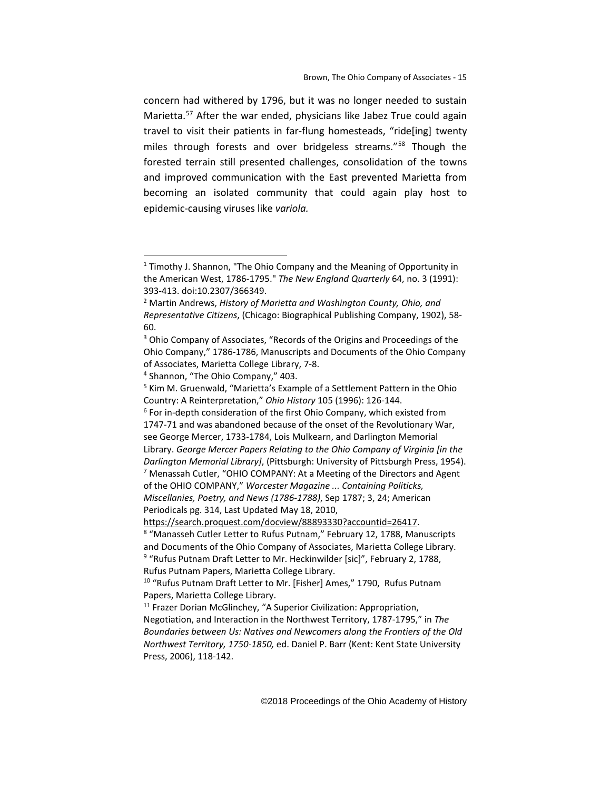concern had withered by 1796, but it was no longer needed to sustain Marietta[.57](#page-16-0) After the war ended, physicians like Jabez True could again travel to visit their patients in far-flung homesteads, "ride[ing] twenty miles through forests and over bridgeless streams."<sup>[58](#page-16-1)</sup> Though the forested terrain still presented challenges, consolidation of the towns and improved communication with the East prevented Marietta from becoming an isolated community that could again play host to epidemic-causing viruses like *variola.* 

 $\overline{a}$ 

<span id="page-14-1"></span><span id="page-14-0"></span>1747-71 and was abandoned because of the onset of the Revolutionary War, see George Mercer, 1733-1784, Lois Mulkearn, and Darlington Memorial Library. *George Mercer Papers Relating to the Ohio Company of Virginia [in the Darlington Memorial Library]*, (Pittsburgh: University of Pittsburgh Press, 1954).  $7$  Menassah Cutler, "OHIO COMPANY: At a Meeting of the Directors and Agent of the OHIO COMPANY," *Worcester Magazine ... Containing Politicks, Miscellanies, Poetry, and News (1786-1788)*, Sep 1787; 3, 24; American Periodicals pg. 314, Last Updated May 18, 2010,

 $1$  Timothy J. Shannon, "The Ohio Company and the Meaning of Opportunity in the American West, 1786-1795." *The New England Quarterly* 64, no. 3 (1991): 393-413. doi:10.2307/366349.<br><sup>2</sup> Martin Andrews, *History of Marietta and Washington County, Ohio, and* 

*Representative Citizens*, (Chicago: Biographical Publishing Company, 1902), 58- 60.

<sup>3</sup> Ohio Company of Associates, "Records of the Origins and Proceedings of the Ohio Company," 1786-1786, Manuscripts and Documents of the Ohio Company of Associates, Marietta College Library, 7-8. 4 Shannon, "The Ohio Company," 403.

<sup>5</sup> Kim M. Gruenwald, "Marietta's Example of a Settlement Pattern in the Ohio Country: A Reinterpretation," *Ohio History* 105 (1996): 126-144. 6 For in-depth consideration of the first Ohio Company, which existed from

<span id="page-14-3"></span><span id="page-14-2"></span>https://search.proquest.com/docview/88893330?accountid=26417.<br><sup>8</sup> "Manasseh Cutler Letter to Rufus Putnam," February 12, 1788, Manuscripts and Documents of the Ohio Company of Associates, Marietta College Library. <sup>9</sup> "Rufus Putnam Draft Letter to Mr. Heckinwilder [sic]", February 2, 1788, Rufus Putnam Papers, Marietta College Library.

<sup>&</sup>lt;sup>10</sup> "Rufus Putnam Draft Letter to Mr. [Fisher] Ames," 1790, Rufus Putnam Papers, Marietta College Library.

<sup>&</sup>lt;sup>11</sup> Frazer Dorian McGlinchey, "A Superior Civilization: Appropriation, Negotiation, and Interaction in the Northwest Territory, 1787-1795," in *The Boundaries between Us: Natives and Newcomers along the Frontiers of the Old Northwest Territory, 1750-1850,* ed. Daniel P. Barr (Kent: Kent State University Press, 2006), 118-142.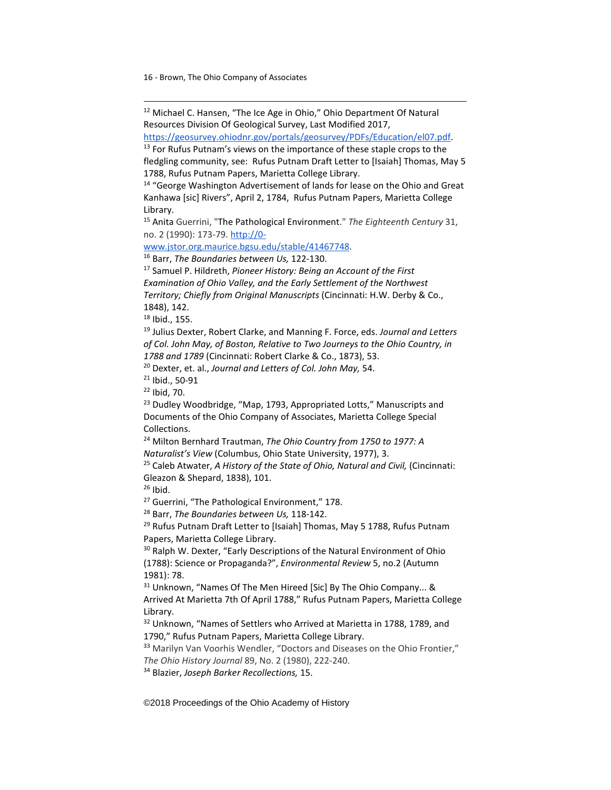$\overline{a}$ 

<sup>12</sup> Michael C. Hansen, "The Ice Age in Ohio," Ohio Department Of Natural Resources Division Of Geological Survey, Last Modified 2017, [https://geosurvey.ohiodnr.gov/portals/geosurvey/PDFs/Education/el07.pdf.](https://geosurvey.ohiodnr.gov/portals/geosurvey/PDFs/Education/el07.pdf) 13 For Rufus Putnam's views on the importance of these staple crops to the fledgling community, see: Rufus Putnam Draft Letter to [Isaiah] Thomas, May 5 1788, Rufus Putnam Papers, Marietta College Library. <sup>14</sup> "George Washington Advertisement of lands for lease on the Ohio and Great Kanhawa [sic] Rivers", April 2, 1784, Rufus Putnam Papers, Marietta College Library. <sup>15</sup> Anita Guerrini, "The Pathological Environment." *The Eighteenth Century* 31, no. 2 (1990): 173-79. [http://0](http://0-www.jstor.org.maurice.bgsu.edu/stable/41467748) www.jstor.org.maurice.bgsu.edu/stable/41467748.<br><sup>16</sup> Barr, *The Boundaries between Us,* 122-130.<br><sup>17</sup> Samuel P. Hildreth, *Pioneer History: Being an Account of the First Examination of Ohio Valley, and the Early Settlement of the Northwest Territory; Chiefly from Original Manuscripts* (Cincinnati: H.W. Derby & Co., 1848), 142. <sup>18</sup> Ibid., 155.<br><sup>19</sup> Julius Dexter, Robert Clarke, and Manning F. Force, eds. *Journal and Letters of Col. John May, of Boston, Relative to Two Journeys to the Ohio Country, in 1788 and 1789* (Cincinnati: Robert Clarke & Co., 1873), 53.<br><sup>20</sup> Dexter, et. al., *Journal and Letters of Col. John May*, 54.<br><sup>21</sup> Ibid., 50-91 <sup>22</sup> Ibid, 70. <sup>23</sup> Dudley Woodbridge, "Map, 1793, Appropriated Lotts," Manuscripts and Documents of the Ohio Company of Associates, Marietta College Special Collections. <sup>24</sup> Milton Bernhard Trautman, *The Ohio Country from 1750 to 1977: A Naturalist's View (Columbus, Ohio State University, 1977), 3. 25 Caleb Atwater, <i>A History of the State of Ohio, Natural and Civil, (Cincinnati:* Gleazon & Shepard, 1838), 101. <sup>26</sup> Ibid.<br><sup>27</sup> Guerrini, "The Pathological Environment," 178.<br><sup>28</sup> Barr, *The Boundaries between Us*, 118-142. <sup>29</sup> Rufus Putnam Draft Letter to [Isaiah] Thomas, May 5 1788, Rufus Putnam Papers, Marietta College Library.

<span id="page-15-3"></span><span id="page-15-2"></span><span id="page-15-1"></span><span id="page-15-0"></span><sup>30</sup> Ralph W. Dexter, "Early Descriptions of the Natural Environment of Ohio (1788): Science or Propaganda?", *Environmental Review* 5, no.2 (Autumn 1981): 78.

<sup>31</sup> Unknown, "Names Of The Men Hireed [Sic] By The Ohio Company... & Arrived At Marietta 7th Of April 1788," Rufus Putnam Papers, Marietta College Library.

<sup>32</sup> Unknown, "Names of Settlers who Arrived at Marietta in 1788, 1789, and 1790," Rufus Putnam Papers, Marietta College Library.

<sup>33</sup> Marilyn Van Voorhis Wendler, "Doctors and Diseases on the Ohio Frontier,"

*The Ohio History Journal* 89, No. 2 (1980), 222-240.

<sup>34</sup> Blazier, *Joseph Barker Recollections,* 15.